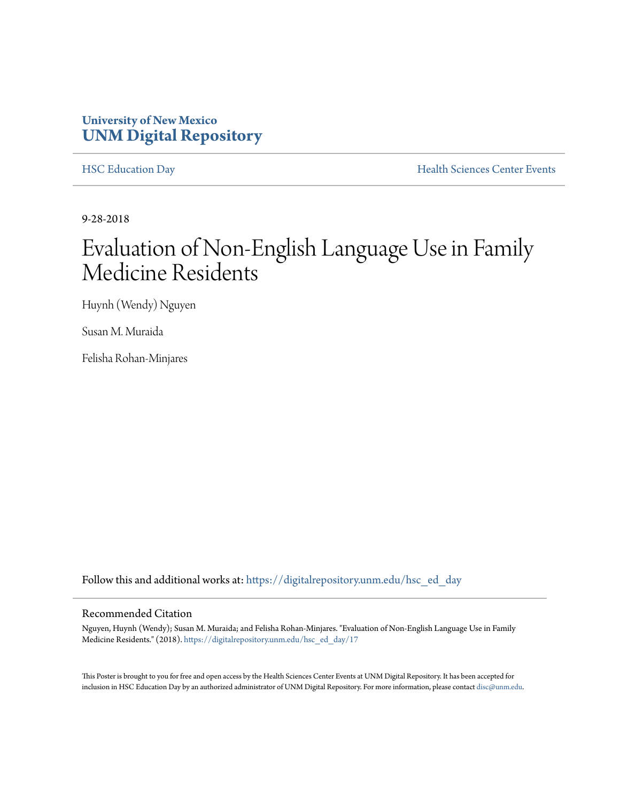#### **University of New Mexico [UNM Digital Repository](https://digitalrepository.unm.edu?utm_source=digitalrepository.unm.edu%2Fhsc_ed_day%2F17&utm_medium=PDF&utm_campaign=PDFCoverPages)**

[HSC Education Day](https://digitalrepository.unm.edu/hsc_ed_day?utm_source=digitalrepository.unm.edu%2Fhsc_ed_day%2F17&utm_medium=PDF&utm_campaign=PDFCoverPages) **[Health Sciences Center Events](https://digitalrepository.unm.edu/hsc_events?utm_source=digitalrepository.unm.edu%2Fhsc_ed_day%2F17&utm_medium=PDF&utm_campaign=PDFCoverPages)** 

9-28-2018

#### Evaluation of Non-English Language Use in Family Medicine Residents

Huynh (Wendy) Nguyen

Susan M. Muraida

Felisha Rohan-Minjares

Follow this and additional works at: [https://digitalrepository.unm.edu/hsc\\_ed\\_day](https://digitalrepository.unm.edu/hsc_ed_day?utm_source=digitalrepository.unm.edu%2Fhsc_ed_day%2F17&utm_medium=PDF&utm_campaign=PDFCoverPages)

#### Recommended Citation

Nguyen, Huynh (Wendy); Susan M. Muraida; and Felisha Rohan-Minjares. "Evaluation of Non-English Language Use in Family Medicine Residents." (2018). [https://digitalrepository.unm.edu/hsc\\_ed\\_day/17](https://digitalrepository.unm.edu/hsc_ed_day/17?utm_source=digitalrepository.unm.edu%2Fhsc_ed_day%2F17&utm_medium=PDF&utm_campaign=PDFCoverPages)

This Poster is brought to you for free and open access by the Health Sciences Center Events at UNM Digital Repository. It has been accepted for inclusion in HSC Education Day by an authorized administrator of UNM Digital Repository. For more information, please contact [disc@unm.edu](mailto:disc@unm.edu).